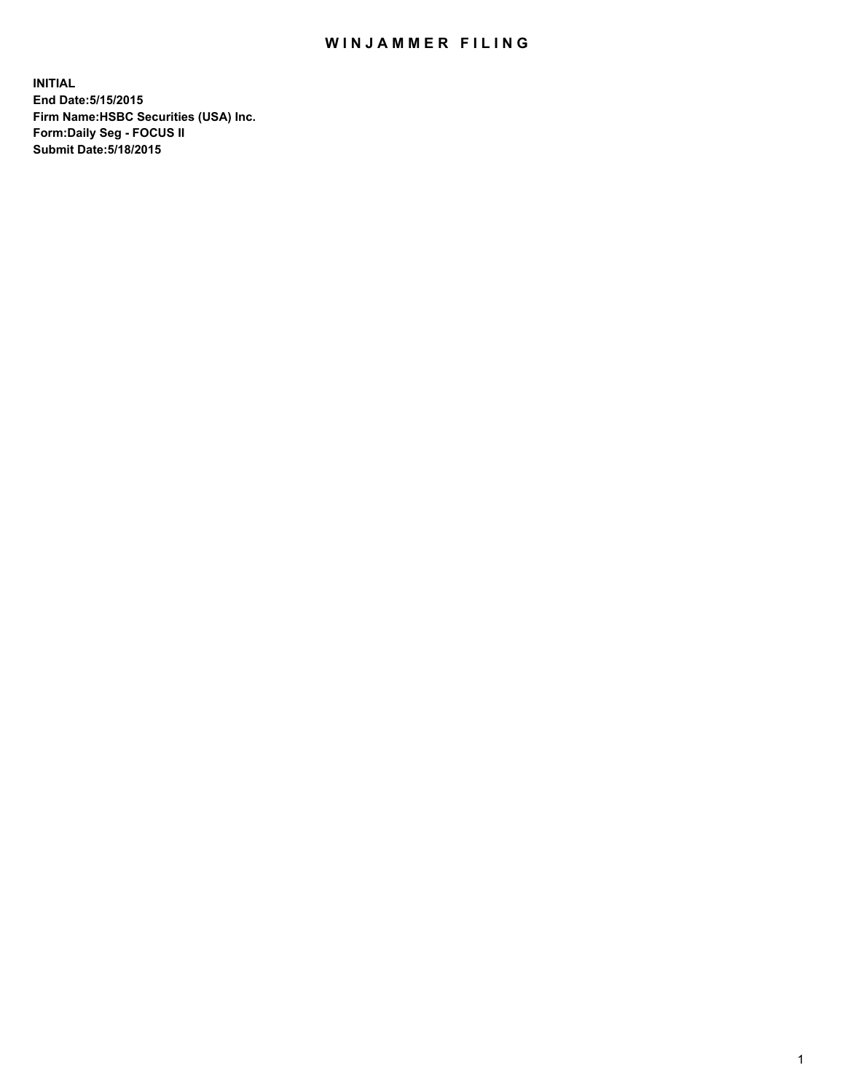## WIN JAMMER FILING

**INITIAL End Date:5/15/2015 Firm Name:HSBC Securities (USA) Inc. Form:Daily Seg - FOCUS II Submit Date:5/18/2015**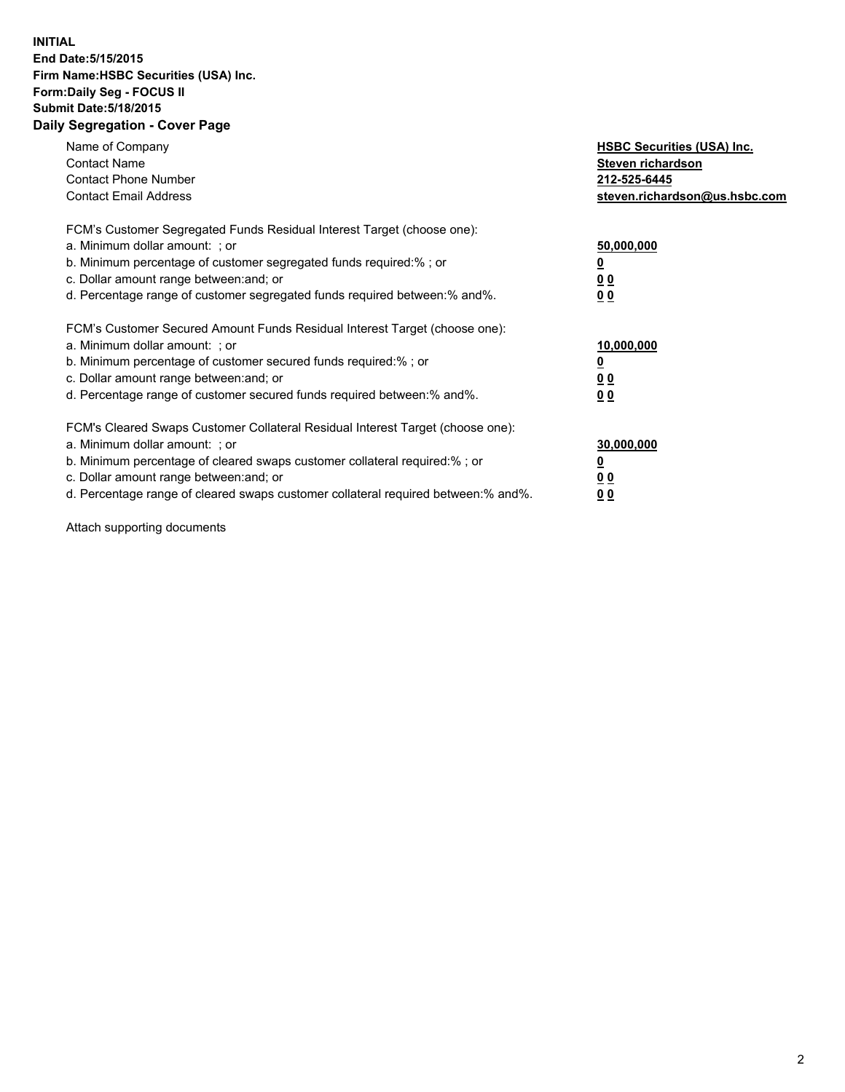## **INITIAL End Date:5/15/2015 Firm Name:HSBC Securities (USA) Inc. Form:Daily Seg - FOCUS II Submit Date:5/18/2015 Daily Segregation - Cover Page**

| Name of Company<br><b>Contact Name</b><br><b>Contact Phone Number</b><br><b>Contact Email Address</b>                                                                                                                                                                                                                         | <b>HSBC Securities (USA) Inc.</b><br>Steven richardson<br>212-525-6445<br>steven.richardson@us.hsbc.com |
|-------------------------------------------------------------------------------------------------------------------------------------------------------------------------------------------------------------------------------------------------------------------------------------------------------------------------------|---------------------------------------------------------------------------------------------------------|
| FCM's Customer Segregated Funds Residual Interest Target (choose one):<br>a. Minimum dollar amount: ; or<br>b. Minimum percentage of customer segregated funds required:%; or<br>c. Dollar amount range between: and; or<br>d. Percentage range of customer segregated funds required between:% and%.                         | 50,000,000<br>00<br>0 <sub>0</sub>                                                                      |
| FCM's Customer Secured Amount Funds Residual Interest Target (choose one):<br>a. Minimum dollar amount: ; or<br>b. Minimum percentage of customer secured funds required:%; or<br>c. Dollar amount range between: and; or<br>d. Percentage range of customer secured funds required between:% and%.                           | 10,000,000<br>0 <sub>0</sub><br>00                                                                      |
| FCM's Cleared Swaps Customer Collateral Residual Interest Target (choose one):<br>a. Minimum dollar amount: ; or<br>b. Minimum percentage of cleared swaps customer collateral required:%; or<br>c. Dollar amount range between: and; or<br>d. Percentage range of cleared swaps customer collateral required between:% and%. | 30,000,000<br><u>00</u><br><u>00</u>                                                                    |

Attach supporting documents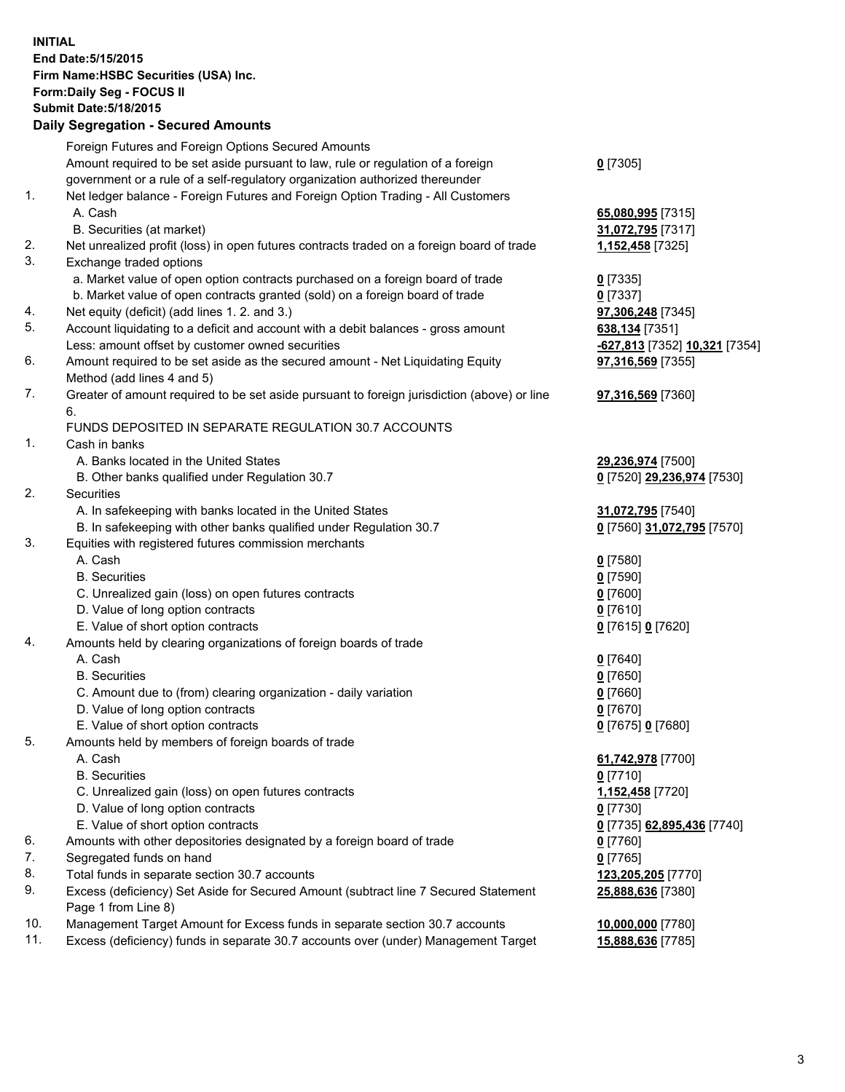**INITIAL End Date:5/15/2015 Firm Name:HSBC Securities (USA) Inc. Form:Daily Seg - FOCUS II Submit Date:5/18/2015 Daily Segregation - Secured Amounts**

Foreign Futures and Foreign Options Secured Amounts Amount required to be set aside pursuant to law, rule or regulation of a foreign government or a rule of a self-regulatory organization authorized thereunder **0** [7305] 1. Net ledger balance - Foreign Futures and Foreign Option Trading - All Customers A. Cash **65,080,995** [7315] B. Securities (at market) **31,072,795** [7317] 2. Net unrealized profit (loss) in open futures contracts traded on a foreign board of trade **1,152,458** [7325] 3. Exchange traded options a. Market value of open option contracts purchased on a foreign board of trade **0** [7335] b. Market value of open contracts granted (sold) on a foreign board of trade **0** [7337] 4. Net equity (deficit) (add lines 1. 2. and 3.) **97,306,248** [7345] 5. Account liquidating to a deficit and account with a debit balances - gross amount **638,134** [7351] Less: amount offset by customer owned securities **-627,813** [7352] **10,321** [7354] 6. Amount required to be set aside as the secured amount - Net Liquidating Equity Method (add lines 4 and 5) **97,316,569** [7355] 7. Greater of amount required to be set aside pursuant to foreign jurisdiction (above) or line 6. **97,316,569** [7360] FUNDS DEPOSITED IN SEPARATE REGULATION 30.7 ACCOUNTS 1. Cash in banks A. Banks located in the United States **29,236,974** [7500] B. Other banks qualified under Regulation 30.7 **0** [7520] **29,236,974** [7530] 2. Securities A. In safekeeping with banks located in the United States **31,072,795** [7540] B. In safekeeping with other banks qualified under Regulation 30.7 **0** [7560] **31,072,795** [7570] 3. Equities with registered futures commission merchants A. Cash **0** [7580] B. Securities **0** [7590] C. Unrealized gain (loss) on open futures contracts **0** [7600] D. Value of long option contracts **0** [7610] E. Value of short option contracts **0** [7615] **0** [7620] 4. Amounts held by clearing organizations of foreign boards of trade A. Cash **0** [7640] B. Securities **0** [7650] C. Amount due to (from) clearing organization - daily variation **0** [7660] D. Value of long option contracts **0** [7670] E. Value of short option contracts **0** [7675] **0** [7680] 5. Amounts held by members of foreign boards of trade A. Cash **61,742,978** [7700] B. Securities **0** [7710] C. Unrealized gain (loss) on open futures contracts **1,152,458** [7720] D. Value of long option contracts **0** [7730] E. Value of short option contracts **0** [7735] **62,895,436** [7740] 6. Amounts with other depositories designated by a foreign board of trade **0** [7760] 7. Segregated funds on hand **0** [7765] 8. Total funds in separate section 30.7 accounts **123,205,205** [7770] 9. Excess (deficiency) Set Aside for Secured Amount (subtract line 7 Secured Statement Page 1 from Line 8) **25,888,636** [7380] 10. Management Target Amount for Excess funds in separate section 30.7 accounts **10,000,000** [7780] 11. Excess (deficiency) funds in separate 30.7 accounts over (under) Management Target **15,888,636** [7785]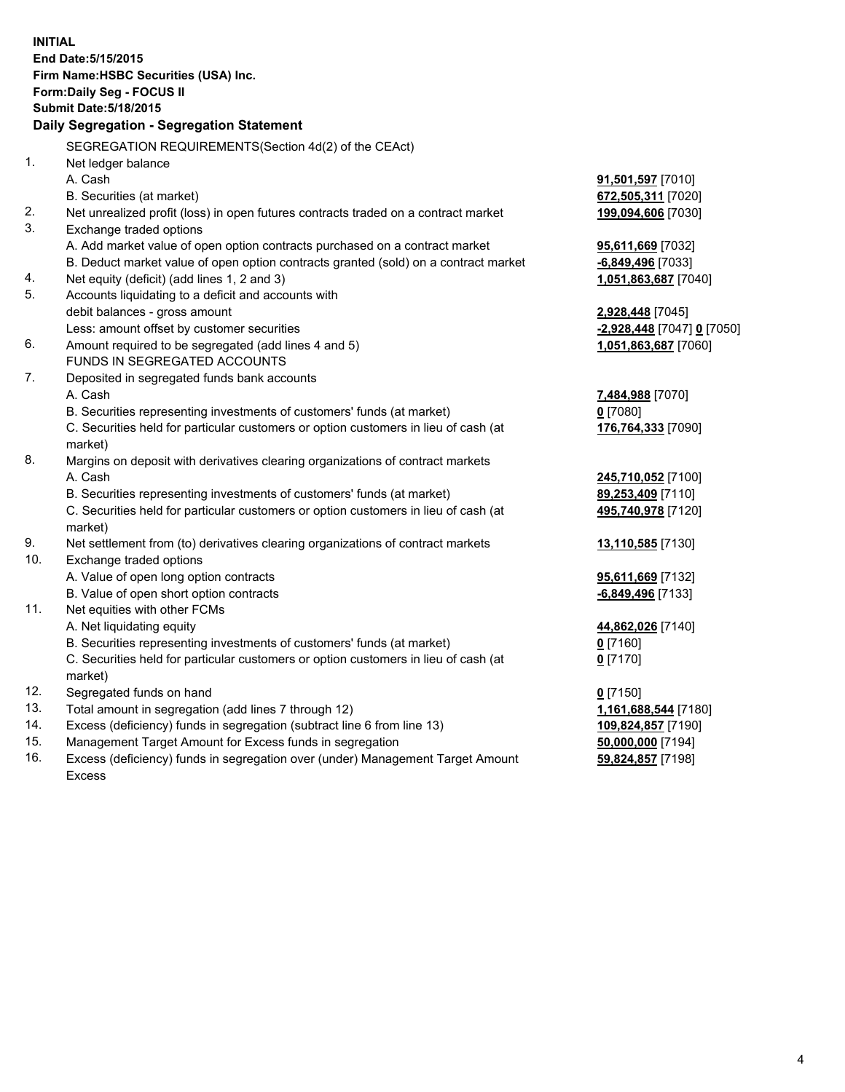| End Date: 5/15/2015<br>Firm Name: HSBC Securities (USA) Inc.<br>Form: Daily Seg - FOCUS II<br><b>Submit Date: 5/18/2015</b><br>Daily Segregation - Segregation Statement<br>SEGREGATION REQUIREMENTS(Section 4d(2) of the CEAct)<br>1.<br>Net ledger balance<br>A. Cash<br><b>91,501,597</b> [7010]<br>B. Securities (at market)<br>672,505,311 [7020]<br>2.<br>Net unrealized profit (loss) in open futures contracts traded on a contract market<br>199,094,606 [7030]<br>3.<br>Exchange traded options<br>A. Add market value of open option contracts purchased on a contract market<br>95,611,669 [7032]<br>B. Deduct market value of open option contracts granted (sold) on a contract market<br>-6,849,496 [7033]<br>Net equity (deficit) (add lines 1, 2 and 3)<br>4.<br>1,051,863,687 [7040]<br>Accounts liquidating to a deficit and accounts with<br>debit balances - gross amount<br>2,928,448 [7045]<br>Less: amount offset by customer securities<br>-2,928,448 [7047] 0 [7050]<br>Amount required to be segregated (add lines 4 and 5)<br>1,051,863,687 [7060]<br>FUNDS IN SEGREGATED ACCOUNTS<br>Deposited in segregated funds bank accounts<br>A. Cash<br>7,484,988 [7070]<br>$0$ [7080]<br>B. Securities representing investments of customers' funds (at market)<br>C. Securities held for particular customers or option customers in lieu of cash (at<br>176,764,333 [7090]<br>market)<br>Margins on deposit with derivatives clearing organizations of contract markets<br>A. Cash<br>245,710,052 [7100]<br>B. Securities representing investments of customers' funds (at market)<br>89,253,409 [7110]<br>C. Securities held for particular customers or option customers in lieu of cash (at<br>495,740,978 [7120]<br>market)<br>9.<br>Net settlement from (to) derivatives clearing organizations of contract markets<br>13,110,585 [7130]<br>10.<br>Exchange traded options<br>A. Value of open long option contracts<br>95,611,669 [7132]<br>B. Value of open short option contracts<br>-6,849,496 [7133]<br>Net equities with other FCMs<br>11.<br>A. Net liquidating equity<br>44,862,026 [7140]<br>B. Securities representing investments of customers' funds (at market)<br>$0$ [7160]<br>C. Securities held for particular customers or option customers in lieu of cash (at<br>$0$ [7170] | <b>INITIAL</b> |  |  |  |  |  |
|-----------------------------------------------------------------------------------------------------------------------------------------------------------------------------------------------------------------------------------------------------------------------------------------------------------------------------------------------------------------------------------------------------------------------------------------------------------------------------------------------------------------------------------------------------------------------------------------------------------------------------------------------------------------------------------------------------------------------------------------------------------------------------------------------------------------------------------------------------------------------------------------------------------------------------------------------------------------------------------------------------------------------------------------------------------------------------------------------------------------------------------------------------------------------------------------------------------------------------------------------------------------------------------------------------------------------------------------------------------------------------------------------------------------------------------------------------------------------------------------------------------------------------------------------------------------------------------------------------------------------------------------------------------------------------------------------------------------------------------------------------------------------------------------------------------------------------------------------------------------------------------------------------------------------------------------------------------------------------------------------------------------------------------------------------------------------------------------------------------------------------------------------------------------------------------------------------------------------------------------------------------------------------------------------------------------------------|----------------|--|--|--|--|--|
|                                                                                                                                                                                                                                                                                                                                                                                                                                                                                                                                                                                                                                                                                                                                                                                                                                                                                                                                                                                                                                                                                                                                                                                                                                                                                                                                                                                                                                                                                                                                                                                                                                                                                                                                                                                                                                                                                                                                                                                                                                                                                                                                                                                                                                                                                                                             |                |  |  |  |  |  |
|                                                                                                                                                                                                                                                                                                                                                                                                                                                                                                                                                                                                                                                                                                                                                                                                                                                                                                                                                                                                                                                                                                                                                                                                                                                                                                                                                                                                                                                                                                                                                                                                                                                                                                                                                                                                                                                                                                                                                                                                                                                                                                                                                                                                                                                                                                                             |                |  |  |  |  |  |
|                                                                                                                                                                                                                                                                                                                                                                                                                                                                                                                                                                                                                                                                                                                                                                                                                                                                                                                                                                                                                                                                                                                                                                                                                                                                                                                                                                                                                                                                                                                                                                                                                                                                                                                                                                                                                                                                                                                                                                                                                                                                                                                                                                                                                                                                                                                             |                |  |  |  |  |  |
|                                                                                                                                                                                                                                                                                                                                                                                                                                                                                                                                                                                                                                                                                                                                                                                                                                                                                                                                                                                                                                                                                                                                                                                                                                                                                                                                                                                                                                                                                                                                                                                                                                                                                                                                                                                                                                                                                                                                                                                                                                                                                                                                                                                                                                                                                                                             |                |  |  |  |  |  |
|                                                                                                                                                                                                                                                                                                                                                                                                                                                                                                                                                                                                                                                                                                                                                                                                                                                                                                                                                                                                                                                                                                                                                                                                                                                                                                                                                                                                                                                                                                                                                                                                                                                                                                                                                                                                                                                                                                                                                                                                                                                                                                                                                                                                                                                                                                                             |                |  |  |  |  |  |
|                                                                                                                                                                                                                                                                                                                                                                                                                                                                                                                                                                                                                                                                                                                                                                                                                                                                                                                                                                                                                                                                                                                                                                                                                                                                                                                                                                                                                                                                                                                                                                                                                                                                                                                                                                                                                                                                                                                                                                                                                                                                                                                                                                                                                                                                                                                             |                |  |  |  |  |  |
|                                                                                                                                                                                                                                                                                                                                                                                                                                                                                                                                                                                                                                                                                                                                                                                                                                                                                                                                                                                                                                                                                                                                                                                                                                                                                                                                                                                                                                                                                                                                                                                                                                                                                                                                                                                                                                                                                                                                                                                                                                                                                                                                                                                                                                                                                                                             |                |  |  |  |  |  |
|                                                                                                                                                                                                                                                                                                                                                                                                                                                                                                                                                                                                                                                                                                                                                                                                                                                                                                                                                                                                                                                                                                                                                                                                                                                                                                                                                                                                                                                                                                                                                                                                                                                                                                                                                                                                                                                                                                                                                                                                                                                                                                                                                                                                                                                                                                                             |                |  |  |  |  |  |
|                                                                                                                                                                                                                                                                                                                                                                                                                                                                                                                                                                                                                                                                                                                                                                                                                                                                                                                                                                                                                                                                                                                                                                                                                                                                                                                                                                                                                                                                                                                                                                                                                                                                                                                                                                                                                                                                                                                                                                                                                                                                                                                                                                                                                                                                                                                             |                |  |  |  |  |  |
|                                                                                                                                                                                                                                                                                                                                                                                                                                                                                                                                                                                                                                                                                                                                                                                                                                                                                                                                                                                                                                                                                                                                                                                                                                                                                                                                                                                                                                                                                                                                                                                                                                                                                                                                                                                                                                                                                                                                                                                                                                                                                                                                                                                                                                                                                                                             |                |  |  |  |  |  |
|                                                                                                                                                                                                                                                                                                                                                                                                                                                                                                                                                                                                                                                                                                                                                                                                                                                                                                                                                                                                                                                                                                                                                                                                                                                                                                                                                                                                                                                                                                                                                                                                                                                                                                                                                                                                                                                                                                                                                                                                                                                                                                                                                                                                                                                                                                                             |                |  |  |  |  |  |
|                                                                                                                                                                                                                                                                                                                                                                                                                                                                                                                                                                                                                                                                                                                                                                                                                                                                                                                                                                                                                                                                                                                                                                                                                                                                                                                                                                                                                                                                                                                                                                                                                                                                                                                                                                                                                                                                                                                                                                                                                                                                                                                                                                                                                                                                                                                             |                |  |  |  |  |  |
|                                                                                                                                                                                                                                                                                                                                                                                                                                                                                                                                                                                                                                                                                                                                                                                                                                                                                                                                                                                                                                                                                                                                                                                                                                                                                                                                                                                                                                                                                                                                                                                                                                                                                                                                                                                                                                                                                                                                                                                                                                                                                                                                                                                                                                                                                                                             |                |  |  |  |  |  |
|                                                                                                                                                                                                                                                                                                                                                                                                                                                                                                                                                                                                                                                                                                                                                                                                                                                                                                                                                                                                                                                                                                                                                                                                                                                                                                                                                                                                                                                                                                                                                                                                                                                                                                                                                                                                                                                                                                                                                                                                                                                                                                                                                                                                                                                                                                                             |                |  |  |  |  |  |
|                                                                                                                                                                                                                                                                                                                                                                                                                                                                                                                                                                                                                                                                                                                                                                                                                                                                                                                                                                                                                                                                                                                                                                                                                                                                                                                                                                                                                                                                                                                                                                                                                                                                                                                                                                                                                                                                                                                                                                                                                                                                                                                                                                                                                                                                                                                             | 5.             |  |  |  |  |  |
|                                                                                                                                                                                                                                                                                                                                                                                                                                                                                                                                                                                                                                                                                                                                                                                                                                                                                                                                                                                                                                                                                                                                                                                                                                                                                                                                                                                                                                                                                                                                                                                                                                                                                                                                                                                                                                                                                                                                                                                                                                                                                                                                                                                                                                                                                                                             |                |  |  |  |  |  |
|                                                                                                                                                                                                                                                                                                                                                                                                                                                                                                                                                                                                                                                                                                                                                                                                                                                                                                                                                                                                                                                                                                                                                                                                                                                                                                                                                                                                                                                                                                                                                                                                                                                                                                                                                                                                                                                                                                                                                                                                                                                                                                                                                                                                                                                                                                                             |                |  |  |  |  |  |
|                                                                                                                                                                                                                                                                                                                                                                                                                                                                                                                                                                                                                                                                                                                                                                                                                                                                                                                                                                                                                                                                                                                                                                                                                                                                                                                                                                                                                                                                                                                                                                                                                                                                                                                                                                                                                                                                                                                                                                                                                                                                                                                                                                                                                                                                                                                             | 6.             |  |  |  |  |  |
|                                                                                                                                                                                                                                                                                                                                                                                                                                                                                                                                                                                                                                                                                                                                                                                                                                                                                                                                                                                                                                                                                                                                                                                                                                                                                                                                                                                                                                                                                                                                                                                                                                                                                                                                                                                                                                                                                                                                                                                                                                                                                                                                                                                                                                                                                                                             |                |  |  |  |  |  |
|                                                                                                                                                                                                                                                                                                                                                                                                                                                                                                                                                                                                                                                                                                                                                                                                                                                                                                                                                                                                                                                                                                                                                                                                                                                                                                                                                                                                                                                                                                                                                                                                                                                                                                                                                                                                                                                                                                                                                                                                                                                                                                                                                                                                                                                                                                                             | 7.             |  |  |  |  |  |
|                                                                                                                                                                                                                                                                                                                                                                                                                                                                                                                                                                                                                                                                                                                                                                                                                                                                                                                                                                                                                                                                                                                                                                                                                                                                                                                                                                                                                                                                                                                                                                                                                                                                                                                                                                                                                                                                                                                                                                                                                                                                                                                                                                                                                                                                                                                             |                |  |  |  |  |  |
|                                                                                                                                                                                                                                                                                                                                                                                                                                                                                                                                                                                                                                                                                                                                                                                                                                                                                                                                                                                                                                                                                                                                                                                                                                                                                                                                                                                                                                                                                                                                                                                                                                                                                                                                                                                                                                                                                                                                                                                                                                                                                                                                                                                                                                                                                                                             |                |  |  |  |  |  |
|                                                                                                                                                                                                                                                                                                                                                                                                                                                                                                                                                                                                                                                                                                                                                                                                                                                                                                                                                                                                                                                                                                                                                                                                                                                                                                                                                                                                                                                                                                                                                                                                                                                                                                                                                                                                                                                                                                                                                                                                                                                                                                                                                                                                                                                                                                                             |                |  |  |  |  |  |
|                                                                                                                                                                                                                                                                                                                                                                                                                                                                                                                                                                                                                                                                                                                                                                                                                                                                                                                                                                                                                                                                                                                                                                                                                                                                                                                                                                                                                                                                                                                                                                                                                                                                                                                                                                                                                                                                                                                                                                                                                                                                                                                                                                                                                                                                                                                             |                |  |  |  |  |  |
|                                                                                                                                                                                                                                                                                                                                                                                                                                                                                                                                                                                                                                                                                                                                                                                                                                                                                                                                                                                                                                                                                                                                                                                                                                                                                                                                                                                                                                                                                                                                                                                                                                                                                                                                                                                                                                                                                                                                                                                                                                                                                                                                                                                                                                                                                                                             | 8.             |  |  |  |  |  |
|                                                                                                                                                                                                                                                                                                                                                                                                                                                                                                                                                                                                                                                                                                                                                                                                                                                                                                                                                                                                                                                                                                                                                                                                                                                                                                                                                                                                                                                                                                                                                                                                                                                                                                                                                                                                                                                                                                                                                                                                                                                                                                                                                                                                                                                                                                                             |                |  |  |  |  |  |
|                                                                                                                                                                                                                                                                                                                                                                                                                                                                                                                                                                                                                                                                                                                                                                                                                                                                                                                                                                                                                                                                                                                                                                                                                                                                                                                                                                                                                                                                                                                                                                                                                                                                                                                                                                                                                                                                                                                                                                                                                                                                                                                                                                                                                                                                                                                             |                |  |  |  |  |  |
|                                                                                                                                                                                                                                                                                                                                                                                                                                                                                                                                                                                                                                                                                                                                                                                                                                                                                                                                                                                                                                                                                                                                                                                                                                                                                                                                                                                                                                                                                                                                                                                                                                                                                                                                                                                                                                                                                                                                                                                                                                                                                                                                                                                                                                                                                                                             |                |  |  |  |  |  |
|                                                                                                                                                                                                                                                                                                                                                                                                                                                                                                                                                                                                                                                                                                                                                                                                                                                                                                                                                                                                                                                                                                                                                                                                                                                                                                                                                                                                                                                                                                                                                                                                                                                                                                                                                                                                                                                                                                                                                                                                                                                                                                                                                                                                                                                                                                                             |                |  |  |  |  |  |
|                                                                                                                                                                                                                                                                                                                                                                                                                                                                                                                                                                                                                                                                                                                                                                                                                                                                                                                                                                                                                                                                                                                                                                                                                                                                                                                                                                                                                                                                                                                                                                                                                                                                                                                                                                                                                                                                                                                                                                                                                                                                                                                                                                                                                                                                                                                             |                |  |  |  |  |  |
|                                                                                                                                                                                                                                                                                                                                                                                                                                                                                                                                                                                                                                                                                                                                                                                                                                                                                                                                                                                                                                                                                                                                                                                                                                                                                                                                                                                                                                                                                                                                                                                                                                                                                                                                                                                                                                                                                                                                                                                                                                                                                                                                                                                                                                                                                                                             |                |  |  |  |  |  |
|                                                                                                                                                                                                                                                                                                                                                                                                                                                                                                                                                                                                                                                                                                                                                                                                                                                                                                                                                                                                                                                                                                                                                                                                                                                                                                                                                                                                                                                                                                                                                                                                                                                                                                                                                                                                                                                                                                                                                                                                                                                                                                                                                                                                                                                                                                                             |                |  |  |  |  |  |
|                                                                                                                                                                                                                                                                                                                                                                                                                                                                                                                                                                                                                                                                                                                                                                                                                                                                                                                                                                                                                                                                                                                                                                                                                                                                                                                                                                                                                                                                                                                                                                                                                                                                                                                                                                                                                                                                                                                                                                                                                                                                                                                                                                                                                                                                                                                             |                |  |  |  |  |  |
|                                                                                                                                                                                                                                                                                                                                                                                                                                                                                                                                                                                                                                                                                                                                                                                                                                                                                                                                                                                                                                                                                                                                                                                                                                                                                                                                                                                                                                                                                                                                                                                                                                                                                                                                                                                                                                                                                                                                                                                                                                                                                                                                                                                                                                                                                                                             |                |  |  |  |  |  |
|                                                                                                                                                                                                                                                                                                                                                                                                                                                                                                                                                                                                                                                                                                                                                                                                                                                                                                                                                                                                                                                                                                                                                                                                                                                                                                                                                                                                                                                                                                                                                                                                                                                                                                                                                                                                                                                                                                                                                                                                                                                                                                                                                                                                                                                                                                                             |                |  |  |  |  |  |
|                                                                                                                                                                                                                                                                                                                                                                                                                                                                                                                                                                                                                                                                                                                                                                                                                                                                                                                                                                                                                                                                                                                                                                                                                                                                                                                                                                                                                                                                                                                                                                                                                                                                                                                                                                                                                                                                                                                                                                                                                                                                                                                                                                                                                                                                                                                             |                |  |  |  |  |  |
|                                                                                                                                                                                                                                                                                                                                                                                                                                                                                                                                                                                                                                                                                                                                                                                                                                                                                                                                                                                                                                                                                                                                                                                                                                                                                                                                                                                                                                                                                                                                                                                                                                                                                                                                                                                                                                                                                                                                                                                                                                                                                                                                                                                                                                                                                                                             |                |  |  |  |  |  |
| market)                                                                                                                                                                                                                                                                                                                                                                                                                                                                                                                                                                                                                                                                                                                                                                                                                                                                                                                                                                                                                                                                                                                                                                                                                                                                                                                                                                                                                                                                                                                                                                                                                                                                                                                                                                                                                                                                                                                                                                                                                                                                                                                                                                                                                                                                                                                     |                |  |  |  |  |  |
| 12.<br>Segregated funds on hand<br>$0$ [7150]                                                                                                                                                                                                                                                                                                                                                                                                                                                                                                                                                                                                                                                                                                                                                                                                                                                                                                                                                                                                                                                                                                                                                                                                                                                                                                                                                                                                                                                                                                                                                                                                                                                                                                                                                                                                                                                                                                                                                                                                                                                                                                                                                                                                                                                                               |                |  |  |  |  |  |
| 13.<br>Total amount in segregation (add lines 7 through 12)<br>1,161,688,544 [7180]                                                                                                                                                                                                                                                                                                                                                                                                                                                                                                                                                                                                                                                                                                                                                                                                                                                                                                                                                                                                                                                                                                                                                                                                                                                                                                                                                                                                                                                                                                                                                                                                                                                                                                                                                                                                                                                                                                                                                                                                                                                                                                                                                                                                                                         |                |  |  |  |  |  |
| 14.<br>Excess (deficiency) funds in segregation (subtract line 6 from line 13)<br>109,824,857 [7190]                                                                                                                                                                                                                                                                                                                                                                                                                                                                                                                                                                                                                                                                                                                                                                                                                                                                                                                                                                                                                                                                                                                                                                                                                                                                                                                                                                                                                                                                                                                                                                                                                                                                                                                                                                                                                                                                                                                                                                                                                                                                                                                                                                                                                        |                |  |  |  |  |  |
| 15.<br>Management Target Amount for Excess funds in segregation<br>50,000,000 [7194]                                                                                                                                                                                                                                                                                                                                                                                                                                                                                                                                                                                                                                                                                                                                                                                                                                                                                                                                                                                                                                                                                                                                                                                                                                                                                                                                                                                                                                                                                                                                                                                                                                                                                                                                                                                                                                                                                                                                                                                                                                                                                                                                                                                                                                        |                |  |  |  |  |  |
| 16.<br>Excess (deficiency) funds in segregation over (under) Management Target Amount<br>59,824,857 [7198]<br>Excess                                                                                                                                                                                                                                                                                                                                                                                                                                                                                                                                                                                                                                                                                                                                                                                                                                                                                                                                                                                                                                                                                                                                                                                                                                                                                                                                                                                                                                                                                                                                                                                                                                                                                                                                                                                                                                                                                                                                                                                                                                                                                                                                                                                                        |                |  |  |  |  |  |